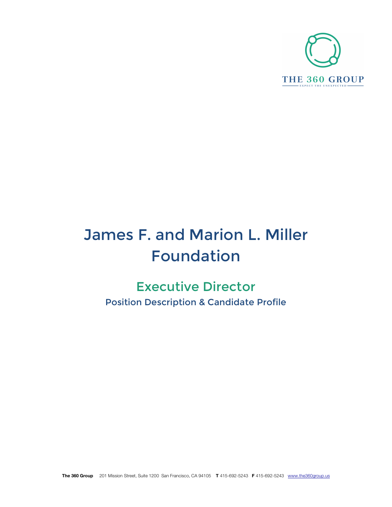

# James F. and Marion L. Miller Foundation

# Executive Director Position Description & Candidate Profile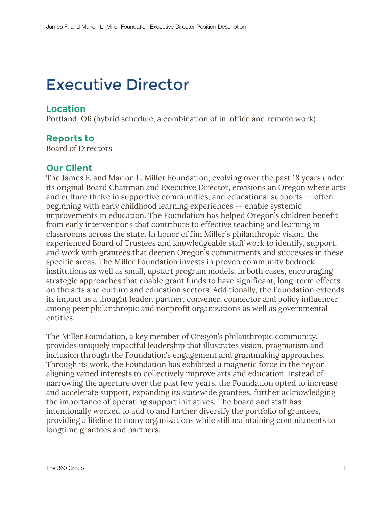# Executive Director

### **Location**

Portland, OR (hybrid schedule; a combination of in-office and remote work)

# **Reports to**

Board of Directors

# **Our Client**

The James F. and Marion L. Miller Foundation, evolving over the past 18 years under its original Board Chairman and Executive Director, envisions an Oregon where arts and culture thrive in supportive communities, and educational supports -- often beginning with early childhood learning experiences -- enable systemic improvements in education. The Foundation has helped Oregon's children benefit from early interventions that contribute to effective teaching and learning in classrooms across the state. In honor of Jim Miller's philanthropic vision, the experienced Board of Trustees and knowledgeable staff work to identify, support, and work with grantees that deepen Oregon's commitments and successes in these specific areas. The Miller Foundation invests in proven community bedrock institutions as well as small, upstart program models; in both cases, encouraging strategic approaches that enable grant funds to have significant, long-term effects on the arts and culture and education sectors. Additionally, the Foundation extends its impact as a thought leader, partner, convener, connector and policy influencer among peer philanthropic and nonprofit organizations as well as governmental entities.

The Miller Foundation, a key member of Oregon's philanthropic community, provides uniquely impactful leadership that illustrates vision, pragmatism and inclusion through the Foundation's engagement and grantmaking approaches. Through its work, the Foundation has exhibited a magnetic force in the region, aligning varied interests to collectively improve arts and education. Instead of narrowing the aperture over the past few years, the Foundation opted to increase and accelerate support, expanding its statewide grantees, further acknowledging the importance of operating support initiatives. The board and staff has intentionally worked to add to and further diversify the portfolio of grantees, providing a lifeline to many organizations while still maintaining commitments to longtime grantees and partners.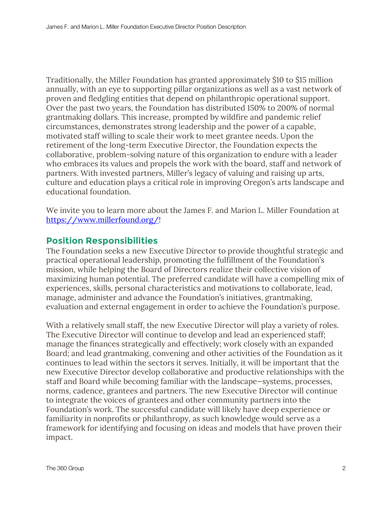Traditionally, the Miller Foundation has granted approximately \$10 to \$15 million annually, with an eye to supporting pillar organizations as well as a vast network of proven and fledgling entities that depend on philanthropic operational support. Over the past two years, the Foundation has distributed 150% to 200% of normal grantmaking dollars. This increase, prompted by wildfire and pandemic relief circumstances, demonstrates strong leadership and the power of a capable, motivated staff willing to scale their work to meet grantee needs. Upon the retirement of the long-term Executive Director, the Foundation expects the collaborative, problem-solving nature of this organization to endure with a leader who embraces its values and propels the work with the board, staff and network of partners. With invested partners, Miller's legacy of valuing and raising up arts, culture and education plays a critical role in improving Oregon's arts landscape and educational foundation.

We invite you to learn more about the James F. and Marion L. Miller Foundation at https://www.millerfound.org/!

# **Position Responsibilities**

The Foundation seeks a new Executive Director to provide thoughtful strategic and practical operational leadership, promoting the fulfillment of the Foundation's mission, while helping the Board of Directors realize their collective vision of maximizing human potential. The preferred candidate will have a compelling mix of experiences, skills, personal characteristics and motivations to collaborate, lead, manage, administer and advance the Foundation's initiatives, grantmaking, evaluation and external engagement in order to achieve the Foundation's purpose.

With a relatively small staff, the new Executive Director will play a variety of roles. The Executive Director will continue to develop and lead an experienced staff; manage the finances strategically and effectively; work closely with an expanded Board; and lead grantmaking, convening and other activities of the Foundation as it continues to lead within the sectors it serves. Initially, it will be important that the new Executive Director develop collaborative and productive relationships with the staff and Board while becoming familiar with the landscape—systems, processes, norms, cadence, grantees and partners. The new Executive Director will continue to integrate the voices of grantees and other community partners into the Foundation's work. The successful candidate will likely have deep experience or familiarity in nonprofits or philanthropy, as such knowledge would serve as a framework for identifying and focusing on ideas and models that have proven their impact.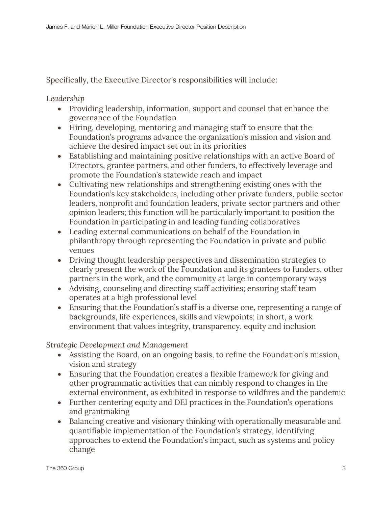Specifically, the Executive Director's responsibilities will include:

*Leadership*

- Providing leadership, information, support and counsel that enhance the governance of the Foundation
- Hiring, developing, mentoring and managing staff to ensure that the Foundation's programs advance the organization's mission and vision and achieve the desired impact set out in its priorities
- Establishing and maintaining positive relationships with an active Board of Directors, grantee partners, and other funders, to effectively leverage and promote the Foundation's statewide reach and impact
- Cultivating new relationships and strengthening existing ones with the Foundation's key stakeholders, including other private funders, public sector leaders, nonprofit and foundation leaders, private sector partners and other opinion leaders; this function will be particularly important to position the Foundation in participating in and leading funding collaboratives
- Leading external communications on behalf of the Foundation in philanthropy through representing the Foundation in private and public venues
- Driving thought leadership perspectives and dissemination strategies to clearly present the work of the Foundation and its grantees to funders, other partners in the work, and the community at large in contemporary ways
- Advising, counseling and directing staff activities; ensuring staff team operates at a high professional level
- Ensuring that the Foundation's staff is a diverse one, representing a range of backgrounds, life experiences, skills and viewpoints; in short, a work environment that values integrity, transparency, equity and inclusion

*Strategic Development and Management*

- Assisting the Board, on an ongoing basis, to refine the Foundation's mission, vision and strategy
- Ensuring that the Foundation creates a flexible framework for giving and other programmatic activities that can nimbly respond to changes in the external environment, as exhibited in response to wildfires and the pandemic
- Further centering equity and DEI practices in the Foundation's operations and grantmaking
- Balancing creative and visionary thinking with operationally measurable and quantifiable implementation of the Foundation's strategy, identifying approaches to extend the Foundation's impact, such as systems and policy change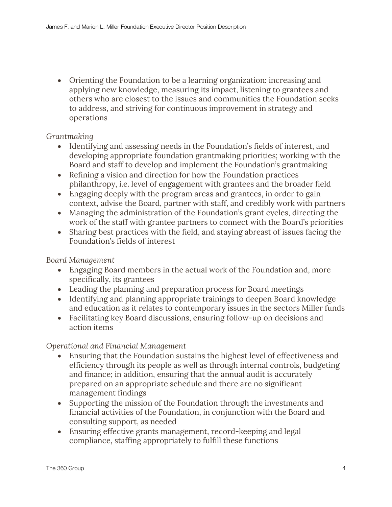• Orienting the Foundation to be a learning organization: increasing and applying new knowledge, measuring its impact, listening to grantees and others who are closest to the issues and communities the Foundation seeks to address, and striving for continuous improvement in strategy and operations

#### *Grantmaking*

- Identifying and assessing needs in the Foundation's fields of interest, and developing appropriate foundation grantmaking priorities; working with the Board and staff to develop and implement the Foundation's grantmaking
- Refining a vision and direction for how the Foundation practices philanthropy, i.e. level of engagement with grantees and the broader field
- Engaging deeply with the program areas and grantees, in order to gain context, advise the Board, partner with staff, and credibly work with partners
- Managing the administration of the Foundation's grant cycles, directing the work of the staff with grantee partners to connect with the Board's priorities
- Sharing best practices with the field, and staying abreast of issues facing the Foundation's fields of interest

*Board Management*

- Engaging Board members in the actual work of the Foundation and, more specifically, its grantees
- Leading the planning and preparation process for Board meetings
- Identifying and planning appropriate trainings to deepen Board knowledge and education as it relates to contemporary issues in the sectors Miller funds
- Facilitating key Board discussions, ensuring follow-up on decisions and action items

*Operational and Financial Management*

- Ensuring that the Foundation sustains the highest level of effectiveness and efficiency through its people as well as through internal controls, budgeting and finance; in addition, ensuring that the annual audit is accurately prepared on an appropriate schedule and there are no significant management findings
- Supporting the mission of the Foundation through the investments and financial activities of the Foundation, in conjunction with the Board and consulting support, as needed
- Ensuring effective grants management, record-keeping and legal compliance, staffing appropriately to fulfill these functions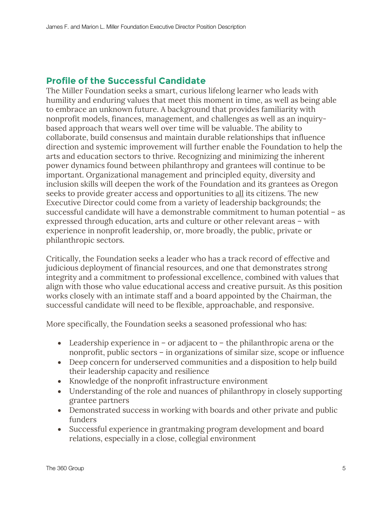# **Profile of the Successful Candidate**

The Miller Foundation seeks a smart, curious lifelong learner who leads with humility and enduring values that meet this moment in time, as well as being able to embrace an unknown future. A background that provides familiarity with nonprofit models, finances, management, and challenges as well as an inquirybased approach that wears well over time will be valuable. The ability to collaborate, build consensus and maintain durable relationships that influence direction and systemic improvement will further enable the Foundation to help the arts and education sectors to thrive. Recognizing and minimizing the inherent power dynamics found between philanthropy and grantees will continue to be important. Organizational management and principled equity, diversity and inclusion skills will deepen the work of the Foundation and its grantees as Oregon seeks to provide greater access and opportunities to all its citizens. The new Executive Director could come from a variety of leadership backgrounds; the successful candidate will have a demonstrable commitment to human potential – as expressed through education, arts and culture or other relevant areas – with experience in nonprofit leadership, or, more broadly, the public, private or philanthropic sectors.

Critically, the Foundation seeks a leader who has a track record of effective and judicious deployment of financial resources, and one that demonstrates strong integrity and a commitment to professional excellence, combined with values that align with those who value educational access and creative pursuit. As this position works closely with an intimate staff and a board appointed by the Chairman, the successful candidate will need to be flexible, approachable, and responsive.

More specifically, the Foundation seeks a seasoned professional who has:

- Leadership experience in or adjacent to the philanthropic arena or the nonprofit, public sectors – in organizations of similar size, scope or influence
- Deep concern for underserved communities and a disposition to help build their leadership capacity and resilience
- Knowledge of the nonprofit infrastructure environment
- Understanding of the role and nuances of philanthropy in closely supporting grantee partners
- Demonstrated success in working with boards and other private and public funders
- Successful experience in grantmaking program development and board relations, especially in a close, collegial environment